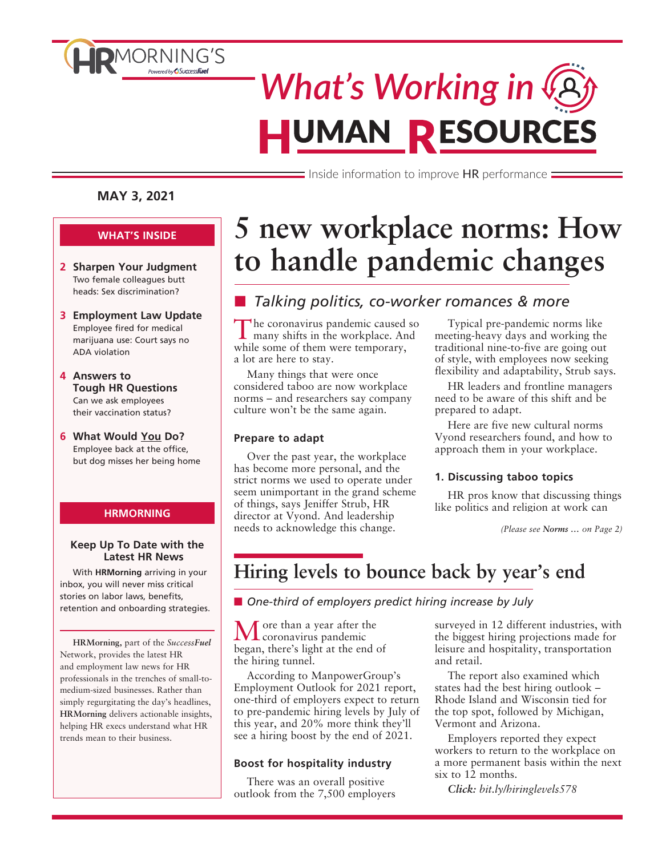

# *What's Working in* **HUMAN RESOURCES**

 $\equiv$  Inside information to improve HR performance  $\equiv$ 

#### **MAY 3, 2021**

#### **WHAT'S INSIDE**

- **2 Sharpen Your Judgment** Two female colleagues butt heads: Sex discrimination?
- **3 Employment Law Update** Employee fired for medical marijuana use: Court says no ADA violation
- **4 Answers to Tough HR Questions** Can we ask employees their vaccination status?
- **6 What Would You Do?** Employee back at the office, but dog misses her being home

#### **HRMORNING**

#### **Keep Up To Date with the Latest HR News**

With **HRMorning** arriving in your inbox, you will never miss critical stories on labor laws, benefits, retention and onboarding strategies.

**HRMorning,** part of the *SuccessFuel* Network, provides the latest HR and employment law news for HR professionals in the trenches of small-tomedium-sized businesses. Rather than simply regurgitating the day's headlines, **HRMorning** delivers actionable insights, helping HR execs understand what HR trends mean to their business.

# **5 new workplace norms: How to handle pandemic changes**

### ■ Talking politics, co-worker romances & more

The coronavirus pandemic caused so many shifts in the workplace. And while some of them were temporary, a lot are here to stay.

Many things that were once considered taboo are now workplace norms – and researchers say company culture won't be the same again.

#### **Prepare to adapt**

Over the past year, the workplace has become more personal, and the strict norms we used to operate under seem unimportant in the grand scheme of things, says Jeniffer Strub, HR director at Vyond. And leadership needs to acknowledge this change.

Typical pre-pandemic norms like meeting-heavy days and working the traditional nine-to-five are going out of style, with employees now seeking flexibility and adaptability, Strub says.

HR leaders and frontline managers need to be aware of this shift and be prepared to adapt.

Here are five new cultural norms Vyond researchers found, and how to approach them in your workplace.

#### **1. Discussing taboo topics**

HR pros know that discussing things like politics and religion at work can

# **Hiring levels to bounce back by year's end**

■ One-third of employers predict hiring increase by July

 $M$  ore than a year after the<br>coronavirus pandemic began, there's light at the end of the hiring tunnel.

According to ManpowerGroup's Employment Outlook for 2021 report, one-third of employers expect to return to pre-pandemic hiring levels by July of this year, and 20% more think they'll see a hiring boost by the end of 2021.

#### **Boost for hospitality industry**

There was an overall positive outlook from the 7,500 employers surveyed in 12 different industries, with the biggest hiring projections made for leisure and hospitality, transportation and retail.

The report also examined which states had the best hiring outlook – Rhode Island and Wisconsin tied for the top spot, followed by Michigan, Vermont and Arizona.

Employers reported they expect workers to return to the workplace on a more permanent basis within the next six to 12 months.

*Click: bit.ly/hiringlevels578*

*<sup>(</sup>Please see Norms … on Page 2)*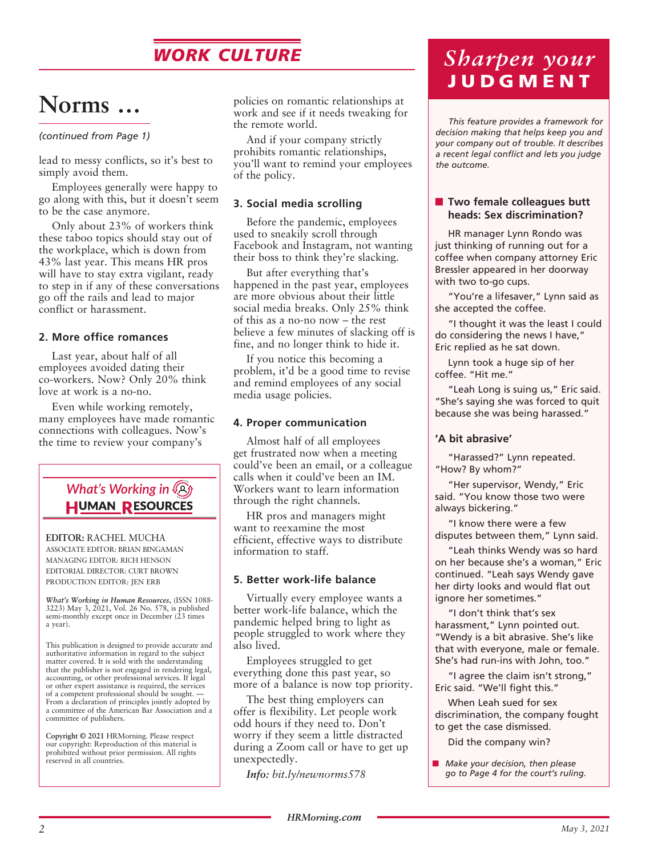# *WORK CULTURE*

# **Norms …**

*(continued from Page 1)*

lead to messy conflicts, so it's best to simply avoid them.

Employees generally were happy to go along with this, but it doesn't seem to be the case anymore.

Only about 23% of workers think these taboo topics should stay out of the workplace, which is down from 43% last year. This means HR pros will have to stay extra vigilant, ready to step in if any of these conversations go off the rails and lead to major conflict or harassment.

#### **2. More office romances**

Last year, about half of all employees avoided dating their co-workers. Now? Only 20% think love at work is a no-no.

Even while working remotely, many employees have made romantic connections with colleagues. Now's the time to review your company's

### *What's Working in* **HUMAN RESOURCES**

**EDITOR:** RACHEL MUCHA ASSOCIATE EDITOR: BRIAN BINGAMAN MANAGING EDITOR: RICH HENSON EDITORIAL DIRECTOR: CURT BROWN PRODUCTION EDITOR: JEN ERB

*What's Working in Human Resources*, (ISSN 1088- 3223) May 3, 2021, Vol. 26 No. 578, is published semi-monthly except once in December (23 times a year).

This publication is designed to provide accurate and authoritative information in regard to the subject matter covered. It is sold with the understanding that the publisher is not engaged in rendering legal, accounting, or other professional services. If legal or other expert assistance is required, the services of a competent professional should be sought. — From a declaration of principles jointly adopted by a committee of the American Bar Association and a committee of publishers.

**Copyright © 2021** HRMorning. Please respect our copyright: Reproduction of this material is prohibited without prior permission. All rights reserved in all countries.

policies on romantic relationships at work and see if it needs tweaking for the remote world.

And if your company strictly prohibits romantic relationships, you'll want to remind your employees of the policy.

#### **3. Social media scrolling**

Before the pandemic, employees used to sneakily scroll through Facebook and Instagram, not wanting their boss to think they're slacking.

But after everything that's happened in the past year, employees are more obvious about their little social media breaks. Only 25% think of this as a no-no now – the rest believe a few minutes of slacking off is fine, and no longer think to hide it.

If you notice this becoming a problem, it'd be a good time to revise and remind employees of any social media usage policies.

#### **4. Proper communication**

Almost half of all employees get frustrated now when a meeting could've been an email, or a colleague calls when it could've been an IM. Workers want to learn information through the right channels.

HR pros and managers might want to reexamine the most efficient, effective ways to distribute information to staff.

#### **5. Better work-life balance**

Virtually every employee wants a better work-life balance, which the pandemic helped bring to light as people struggled to work where they also lived.

Employees struggled to get everything done this past year, so more of a balance is now top priority.

The best thing employers can offer is flexibility. Let people work odd hours if they need to. Don't worry if they seem a little distracted during a Zoom call or have to get up unexpectedly.

*Info: bit.ly/newnorms578*

# *Sharpen your*  **JUDGMENT**

*This feature provides a framework for decision making that helps keep you and your company out of trouble. It describes a recent legal conflict and lets you judge the outcome.*

#### ■ Two female colleagues butt **heads: Sex discrimination?**

HR manager Lynn Rondo was just thinking of running out for a coffee when company attorney Eric Bressler appeared in her doorway with two to-go cups.

"You're a lifesaver," Lynn said as she accepted the coffee.

"I thought it was the least I could do considering the news I have," Eric replied as he sat down.

Lynn took a huge sip of her coffee. "Hit me."

"Leah Long is suing us," Eric said. "She's saying she was forced to quit because she was being harassed."

#### **'A bit abrasive'**

"Harassed?" Lynn repeated. "How? By whom?"

"Her supervisor, Wendy," Eric said. "You know those two were always bickering."

"I know there were a few disputes between them," Lynn said.

"Leah thinks Wendy was so hard on her because she's a woman," Eric continued. "Leah says Wendy gave her dirty looks and would flat out ignore her sometimes."

"I don't think that's sex harassment," Lynn pointed out. "Wendy is a bit abrasive. She's like that with everyone, male or female. She's had run-ins with John, too."

"I agree the claim isn't strong," Eric said. "We'll fight this."

When Leah sued for sex discrimination, the company fought to get the case dismissed.

Did the company win?

■ *Make your decision, then please go to Page 4 for the court's ruling.*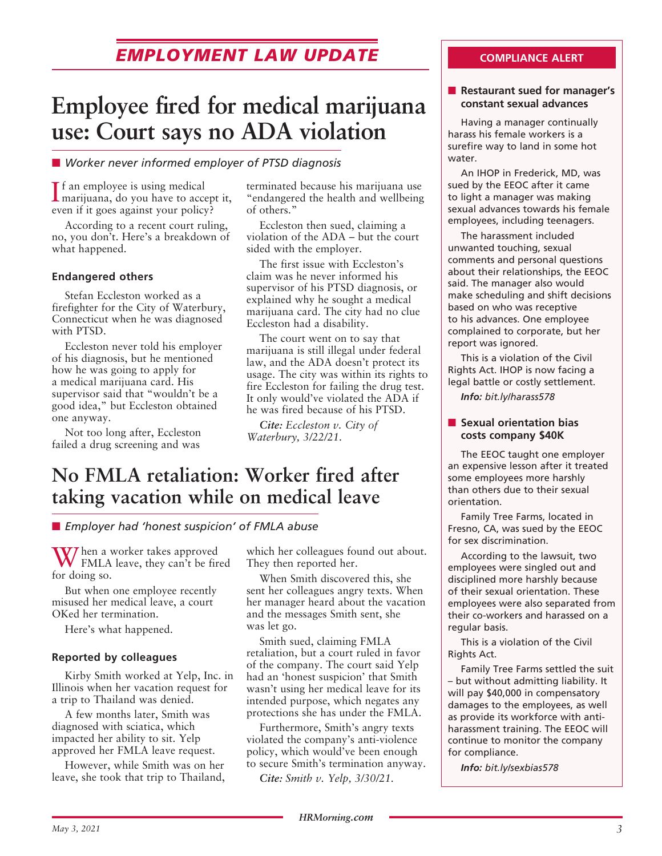# **EMPLOYMENT LAW UPDATE COMPLIANCE ALERT**

# **Employee fired for medical marijuana use: Court says no ADA violation**

#### ■ Worker never informed employer of PTSD diagnosis

I marijuana, do you have to accept it, **If** an employee is using medical even if it goes against your policy?

According to a recent court ruling, no, you don't. Here's a breakdown of what happened.

#### **Endangered others**

Stefan Eccleston worked as a firefighter for the City of Waterbury, Connecticut when he was diagnosed with PTSD.

Eccleston never told his employer of his diagnosis, but he mentioned how he was going to apply for a medical marijuana card. His supervisor said that "wouldn't be a good idea," but Eccleston obtained one anyway.

Not too long after, Eccleston failed a drug screening and was

terminated because his marijuana use "endangered the health and wellbeing of others."

Eccleston then sued, claiming a violation of the ADA – but the court sided with the employer.

The first issue with Eccleston's claim was he never informed his supervisor of his PTSD diagnosis, or explained why he sought a medical marijuana card. The city had no clue Eccleston had a disability.

The court went on to say that marijuana is still illegal under federal law, and the ADA doesn't protect its usage. The city was within its rights to fire Eccleston for failing the drug test. It only would've violated the ADA if he was fired because of his PTSD.

*Cite: Eccleston v. City of Waterbury, 3/22/21.*

# **No FMLA retaliation: Worker fired after taking vacation while on medical leave**

**E** *Employer had 'honest suspicion' of FMLA abuse* 

When a worker takes approved FMLA leave, they can't be fired for doing so.

But when one employee recently misused her medical leave, a court OKed her termination.

Here's what happened.

#### **Reported by colleagues**

Kirby Smith worked at Yelp, Inc. in Illinois when her vacation request for a trip to Thailand was denied.

A few months later, Smith was diagnosed with sciatica, which impacted her ability to sit. Yelp approved her FMLA leave request.

However, while Smith was on her leave, she took that trip to Thailand, which her colleagues found out about. They then reported her.

When Smith discovered this, she sent her colleagues angry texts. When her manager heard about the vacation and the messages Smith sent, she was let go.

Smith sued, claiming FMLA retaliation, but a court ruled in favor of the company. The court said Yelp had an 'honest suspicion' that Smith wasn't using her medical leave for its intended purpose, which negates any protections she has under the FMLA.

Furthermore, Smith's angry texts violated the company's anti-violence policy, which would've been enough to secure Smith's termination anyway.

*Cite: Smith v. Yelp, 3/30/21.*

#### **n** Restaurant sued for manager's **constant sexual advances**

Having a manager continually harass his female workers is a surefire way to land in some hot water.

An IHOP in Frederick, MD, was sued by the EEOC after it came to light a manager was making sexual advances towards his female employees, including teenagers.

The harassment included unwanted touching, sexual comments and personal questions about their relationships, the EEOC said. The manager also would make scheduling and shift decisions based on who was receptive to his advances. One employee complained to corporate, but her report was ignored.

This is a violation of the Civil Rights Act. IHOP is now facing a legal battle or costly settlement.

*Info: bit.ly/harass578*

#### **n** Sexual orientation bias **costs company \$40K**

The EEOC taught one employer an expensive lesson after it treated some employees more harshly than others due to their sexual orientation.

Family Tree Farms, located in Fresno, CA, was sued by the EEOC for sex discrimination.

According to the lawsuit, two employees were singled out and disciplined more harshly because of their sexual orientation. These employees were also separated from their co-workers and harassed on a regular basis.

This is a violation of the Civil Rights Act.

Family Tree Farms settled the suit – but without admitting liability. It will pay \$40,000 in compensatory damages to the employees, as well as provide its workforce with antiharassment training. The EEOC will continue to monitor the company for compliance.

*Info: bit.ly/sexbias578*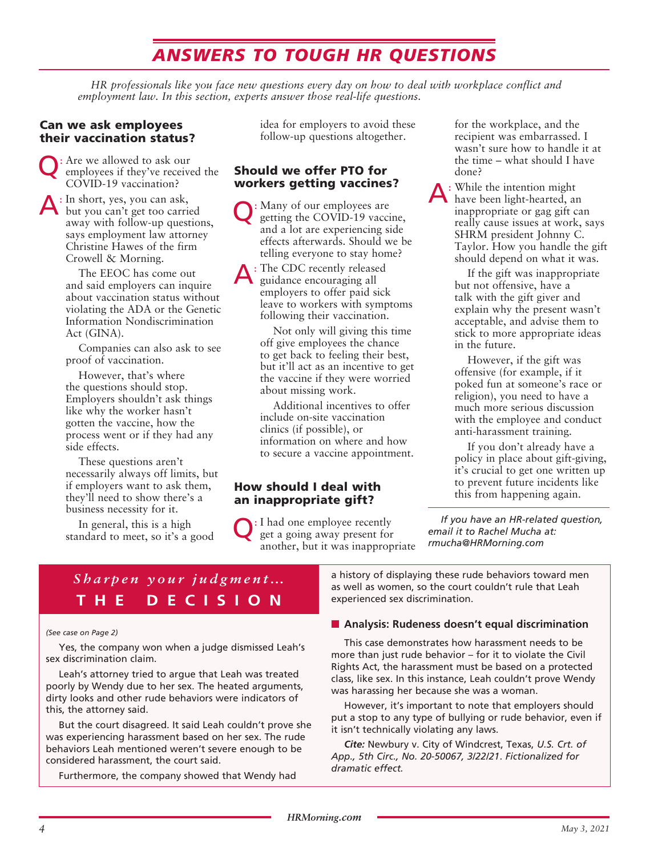# *ANSWERS TO TOUGH HR QUESTIONS*

*HR professionals like you face new questions every day on how to deal with workplace conflict and employment law. In this section, experts answer those real-life questions.*

#### Can we ask employees their vaccination status?

Q: Are we allowed to ask our employees if they've received the COVID-19 vaccination?

: In short, yes, you can ask, but you can't get too carried away with follow-up questions, says employment law attorney Christine Hawes of the firm Crowell & Morning.

The EEOC has come out and said employers can inquire about vaccination status without violating the ADA or the Genetic Information Nondiscrimination Act (GINA).

Companies can also ask to see proof of vaccination.

However, that's where the questions should stop. Employers shouldn't ask things like why the worker hasn't gotten the vaccine, how the process went or if they had any side effects.

These questions aren't necessarily always off limits, but if employers want to ask them, they'll need to show there's a business necessity for it.

In general, this is a high standard to meet, so it's a good idea for employers to avoid these follow-up questions altogether.

#### Should we offer PTO for workers getting vaccines?

Q: Many of our employees are getting the COVID-19 vaccine, and a lot are experiencing side effects afterwards. Should we be telling everyone to stay home?

 $\Delta:$  The CDC recently released guidance encouraging all employers to offer paid sick leave to workers with symptoms following their vaccination.

> Not only will giving this time off give employees the chance to get back to feeling their best, but it'll act as an incentive to get the vaccine if they were worried about missing work.

Additional incentives to offer include on-site vaccination clinics (if possible), or information on where and how to secure a vaccine appointment.

#### How should I deal with an inappropriate gift?

Q: I had one employee recently get a going away present for another, but it was inappropriate for the workplace, and the recipient was embarrassed. I wasn't sure how to handle it at the time – what should I have done?

A: While the intention might have been light-hearted, an inappropriate or gag gift can really cause issues at work, says SHRM president Johnny C. Taylor. How you handle the gift should depend on what it was.

> If the gift was inappropriate but not offensive, have a talk with the gift giver and explain why the present wasn't acceptable, and advise them to stick to more appropriate ideas in the future.

> However, if the gift was offensive (for example, if it poked fun at someone's race or religion), you need to have a much more serious discussion with the employee and conduct anti-harassment training.

If you don't already have a policy in place about gift-giving, it's crucial to get one written up to prevent future incidents like this from happening again.

*If you have an HR-related question, email it to Rachel Mucha at: rmucha@HRMorning.com*

## *Sharpen your judgment…* **THE DECISION**

#### *(See case on Page 2)*

Yes, the company won when a judge dismissed Leah's sex discrimination claim.

Leah's attorney tried to argue that Leah was treated poorly by Wendy due to her sex. The heated arguments, dirty looks and other rude behaviors were indicators of this, the attorney said.

But the court disagreed. It said Leah couldn't prove she was experiencing harassment based on her sex. The rude behaviors Leah mentioned weren't severe enough to be considered harassment, the court said.

Furthermore, the company showed that Wendy had

a history of displaying these rude behaviors toward men as well as women, so the court couldn't rule that Leah experienced sex discrimination.

#### **n** Analysis: Rudeness doesn't equal discrimination

This case demonstrates how harassment needs to be more than just rude behavior – for it to violate the Civil Rights Act, the harassment must be based on a protected class, like sex. In this instance, Leah couldn't prove Wendy was harassing her because she was a woman.

However, it's important to note that employers should put a stop to any type of bullying or rude behavior, even if it isn't technically violating any laws.

*Cite:* Newbury v. City of Windcrest, Texas, *U.S. Crt. of App., 5th Circ., No. 20-50067, 3/22/21*. *Fictionalized for dramatic effect.*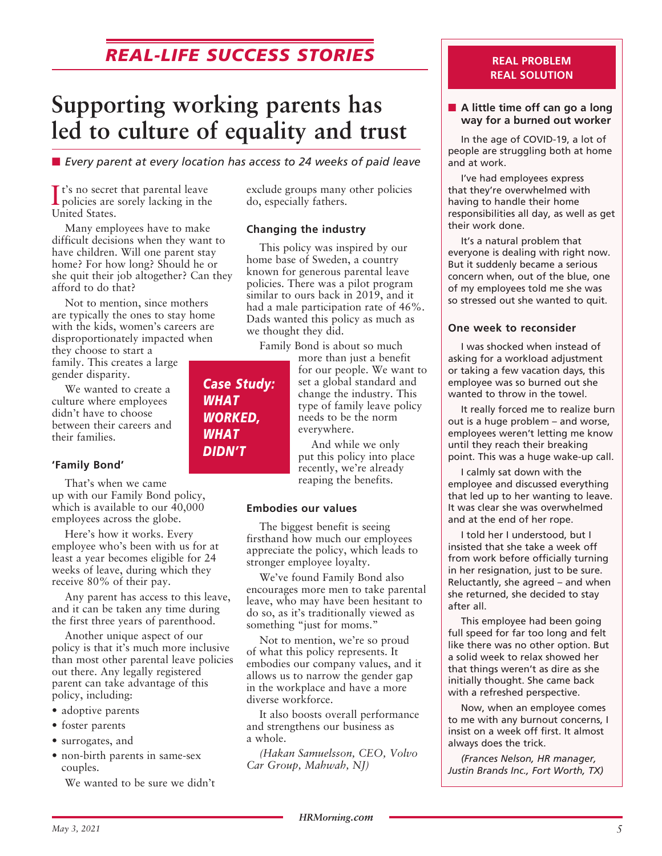# *REAL-LIFE SUCCESS STORIES*

# **Supporting working parents has led to culture of equality and trust**

■ *Every parent at every location has access to 24 weeks of paid leave* 

It's no secret that parental leave<br>policies are sorely lacking in the policies are sorely lacking in the United States.

Many employees have to make difficult decisions when they want to have children. Will one parent stay home? For how long? Should he or she quit their job altogether? Can they afford to do that?

Not to mention, since mothers are typically the ones to stay home with the kids, women's careers are disproportionately impacted when

they choose to start a family. This creates a large gender disparity.

We wanted to create a culture where employees didn't have to choose between their careers and their families.

#### **'Family Bond'**

That's when we came up with our Family Bond policy, which is available to our 40,000 employees across the globe.

Here's how it works. Every employee who's been with us for at least a year becomes eligible for 24 weeks of leave, during which they receive 80% of their pay.

Any parent has access to this leave, and it can be taken any time during the first three years of parenthood.

Another unique aspect of our policy is that it's much more inclusive than most other parental leave policies out there. Any legally registered parent can take advantage of this policy, including:

- adoptive parents
- foster parents
- surrogates, and
- non-birth parents in same-sex couples.

We wanted to be sure we didn't

exclude groups many other policies do, especially fathers.

#### **Changing the industry**

This policy was inspired by our home base of Sweden, a country known for generous parental leave policies. There was a pilot program similar to ours back in 2019, and it had a male participation rate of 46%. Dads wanted this policy as much as we thought they did.

Family Bond is about so much

more than just a benefit for our people. We want to set a global standard and change the industry. This type of family leave policy needs to be the norm everywhere.

And while we only put this policy into place recently, we're already reaping the benefits.

#### **Embodies our values**

The biggest benefit is seeing firsthand how much our employees appreciate the policy, which leads to stronger employee loyalty.

We've found Family Bond also encourages more men to take parental leave, who may have been hesitant to do so, as it's traditionally viewed as something "just for moms."

Not to mention, we're so proud of what this policy represents. It embodies our company values, and it allows us to narrow the gender gap in the workplace and have a more diverse workforce.

It also boosts overall performance and strengthens our business as a whole.

*(Hakan Samuelsson, CEO, Volvo Car Group, Mahwah, NJ)*

#### **REAL PROBLEM REAL SOLUTION**

#### ■ A little time off can go a long **way for a burned out worker**

In the age of COVID-19, a lot of people are struggling both at home and at work.

I've had employees express that they're overwhelmed with having to handle their home responsibilities all day, as well as get their work done.

It's a natural problem that everyone is dealing with right now. But it suddenly became a serious concern when, out of the blue, one of my employees told me she was so stressed out she wanted to quit.

#### **One week to reconsider**

I was shocked when instead of asking for a workload adjustment or taking a few vacation days, this employee was so burned out she wanted to throw in the towel.

It really forced me to realize burn out is a huge problem – and worse, employees weren't letting me know until they reach their breaking point. This was a huge wake-up call.

I calmly sat down with the employee and discussed everything that led up to her wanting to leave. It was clear she was overwhelmed and at the end of her rope.

I told her I understood, but I insisted that she take a week off from work before officially turning in her resignation, just to be sure. Reluctantly, she agreed – and when she returned, she decided to stay after all.

This employee had been going full speed for far too long and felt like there was no other option. But a solid week to relax showed her that things weren't as dire as she initially thought. She came back with a refreshed perspective.

Now, when an employee comes to me with any burnout concerns, I insist on a week off first. It almost always does the trick.

*(Frances Nelson, HR manager, Justin Brands Inc., Fort Worth, TX)*

### *Case Study: WHAT WORKED, WHAT DIDN'T*